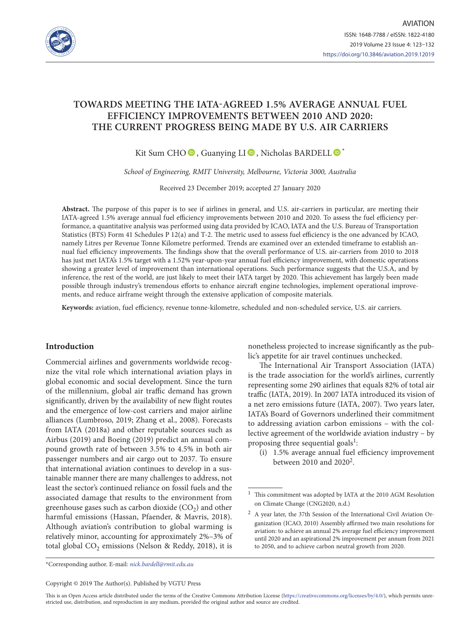

# **TOWARDS MEETING THE IATA-AGREED 1.5% AVERAGE ANNUAL FUEL EFFICIENCY IMPROVEMENTS BETWEEN 2010 AND 2020: THE CURRENT PROGRESS BEING MADE BY U.S. AIR CARRIERS**

Kit Sum CHO  $\bullet$ , Guanying LI  $\bullet$ , Nicholas BARDELL  $\bullet$ \*

*School of Engineering, RMIT University, Melbourne, Victoria 3000, Australia*

Received 23 December 2019; accepted 27 January 2020

**Abstract.** The purpose of this paper is to see if airlines in general, and U.S. air-carriers in particular, are meeting their IATA-agreed 1.5% average annual fuel efficiency improvements between 2010 and 2020. To assess the fuel efficiency performance, a quantitative analysis was performed using data provided by ICAO, IATA and the U.S. Bureau of Transportation Statistics (BTS) Form 41 Schedules P 12(a) and T-2. The metric used to assess fuel efficiency is the one advanced by ICAO, namely Litres per Revenue Tonne Kilometre performed. Trends are examined over an extended timeframe to establish annual fuel efficiency improvements. The findings show that the overall performance of U.S. air-carriers from 2010 to 2018 has just met IATA's 1.5% target with a 1.52% year-upon-year annual fuel efficiency improvement, with domestic operations showing a greater level of improvement than international operations. Such performance suggests that the U.S.A, and by inference, the rest of the world, are just likely to meet their IATA target by 2020. This achievement has largely been made possible through industry's tremendous efforts to enhance aircraft engine technologies, implement operational improvements, and reduce airframe weight through the extensive application of composite materials.

**Keywords:** aviation, fuel efficiency, revenue tonne-kilometre, scheduled and non-scheduled service, U.S. air carriers.

### **Introduction**

Commercial airlines and governments worldwide recognize the vital role which international aviation plays in global economic and social development. Since the turn of the millennium, global air traffic demand has grown significantly, driven by the availability of new flight routes and the emergence of low-cost carriers and major airline alliances (Lumbroso, 2019; Zhang et al., 2008). Forecasts from IATA (2018a) and other reputable sources such as Airbus (2019) and Boeing (2019) predict an annual compound growth rate of between 3.5% to 4.5% in both air passenger numbers and air cargo out to 2037. To ensure that international aviation continues to develop in a sustainable manner there are many challenges to address, not least the sector's continued reliance on fossil fuels and the associated damage that results to the environment from greenhouse gases such as carbon dioxide  $(CO<sub>2</sub>)$  and other harmful emissions (Hassan, Pfaender, & Mavris, 2018). Although aviation's contribution to global warming is relatively minor, accounting for approximately 2%–3% of total global  $CO<sub>2</sub>$  emissions (Nelson & Reddy, 2018), it is

nonetheless projected to increase significantly as the public's appetite for air travel continues unchecked.

The International Air Transport Association (IATA) is the trade association for the world's airlines, currently representing some 290 airlines that equals 82% of total air traffic (IATA, 2019). In 2007 IATA introduced its vision of a net zero emissions future (IATA, 2007). Two years later, IATA's Board of Governors underlined their commitment to addressing aviation carbon emissions – with the collective agreement of the worldwide aviation industry – by proposing three sequential goals<sup>1</sup>:

(i) 1.5% average annual fuel efficiency improvement between 2010 and 2020<sup>2</sup>.

<sup>1</sup> This commitment was adopted by IATA at the 2010 AGM Resolution on Climate Change (CNG2020, n.d.)

<sup>2</sup> A year later, the 37th Session of the International Civil Aviation Organization (ICAO, 2010) Assembly affirmed two main resolutions for aviation: to achieve an annual 2% average fuel efficiency improvement until 2020 and an aspirational 2% improvement per annum from 2021 to 2050, and to achieve carbon neutral growth from 2020.

<sup>\*</sup>Corresponding author. E-mail: *nick.bardell@rmit.edu.au*

Copyright © 2019 The Author(s). Published by VGTU Press

This is an Open Access article distributed under the terms of the Creative Commons Attribution License [\(https://creativecommons.org/licenses/by/4.0/\)](http://creativecommons.org/licenses/by/4.0/), which permits unrestricted use, distribution, and reproduction in any medium, provided the original author and source are credited.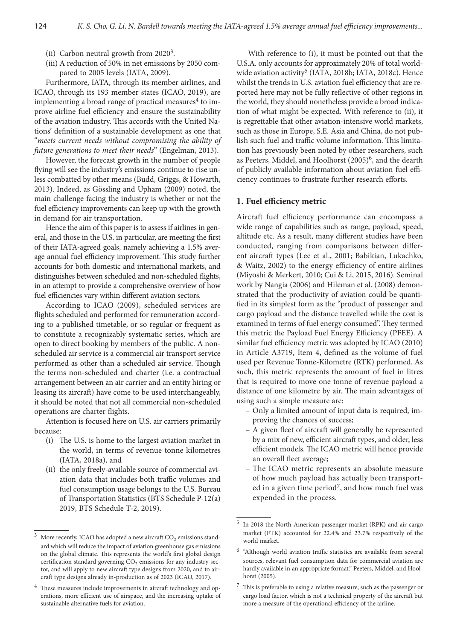- (ii) Carbon neutral growth from  $2020<sup>3</sup>$ .
- (iii) A reduction of 50% in net emissions by 2050 compared to 2005 levels (IATA, 2009).

Furthermore, IATA, through its member airlines, and ICAO, through its 193 member states (ICAO, 2019), are implementing a broad range of practical measures<sup>4</sup> to improve airline fuel efficiency and ensure the sustainability of the aviation industry. This accords with the United Nations' definition of a sustainable development as one that "*meets current needs without compromising the ability of future generations to meet their needs*" (Engelman, 2013).

However, the forecast growth in the number of people flying will see the industry's emissions continue to rise unless combatted by other means (Budd, Griggs, & Howarth, 2013). Indeed, as Gössling and Upham (2009) noted, the main challenge facing the industry is whether or not the fuel efficiency improvements can keep up with the growth in demand for air transportation.

Hence the aim of this paper is to assess if airlines in general, and those in the U.S. in particular, are meeting the first of their IATA-agreed goals, namely achieving a 1.5% average annual fuel efficiency improvement. This study further accounts for both domestic and international markets, and distinguishes between scheduled and non-scheduled flights, in an attempt to provide a comprehensive overview of how fuel efficiencies vary within different aviation sectors.

According to ICAO (2009), scheduled services are flights scheduled and performed for remuneration according to a published timetable, or so regular or frequent as to constitute a recognizably systematic series, which are open to direct booking by members of the public. A nonscheduled air service is a commercial air transport service performed as other than a scheduled air service. Though the terms non-scheduled and charter (i.e. a contractual arrangement between an air carrier and an entity hiring or leasing its aircraft) have come to be used interchangeably, it should be noted that not all commercial non-scheduled operations are charter flights.

Attention is focused here on U.S. air carriers primarily because:

- (i) The U.S. is home to the largest aviation market in the world, in terms of revenue tonne kilometres (IATA, 2018a), and
- (ii) the only freely-available source of commercial aviation data that includes both traffic volumes and fuel consumption usage belongs to the U.S. Bureau of Transportation Statistics (BTS Schedule P-12(a) 2019, BTS Schedule T-2, 2019).

With reference to (i), it must be pointed out that the U.S.A. only accounts for approximately 20% of total worldwide aviation activity<sup>5</sup> (IATA, 2018b; IATA, 2018c). Hence whilst the trends in U.S. aviation fuel efficiency that are reported here may not be fully reflective of other regions in the world, they should nonetheless provide a broad indication of what might be expected. With reference to (ii), it is regrettable that other aviation-intensive world markets, such as those in Europe, S.E. Asia and China, do not publish such fuel and traffic volume information. This limitation has previously been noted by other researchers, such as Peeters, Middel, and Hoolhorst (2005)<sup>6</sup>, and the dearth of publicly available information about aviation fuel efficiency continues to frustrate further research efforts.

#### **1. Fuel efficiency metric**

Aircraft fuel efficiency performance can encompass a wide range of capabilities such as range, payload, speed, altitude etc. As a result, many different studies have been conducted, ranging from comparisons between different aircraft types (Lee et al., 2001; Babikian, Lukachko, & Waitz, 2002) to the energy efficiency of entire airlines (Miyoshi & Merkert, 2010; Cui & Li, 2015, 2016). Seminal work by Nangia (2006) and Hileman et al. (2008) demonstrated that the productivity of aviation could be quantified in its simplest form as the "product of passenger and cargo payload and the distance travelled while the cost is examined in terms of fuel energy consumed". They termed this metric the Payload Fuel Energy Efficiency (PFEE). A similar fuel efficiency metric was adopted by ICAO (2010) in Article A3719, Item 4, defined as the volume of fuel used per Revenue Tonne-Kilometre (RTK) performed. As such, this metric represents the amount of fuel in litres that is required to move one tonne of revenue payload a distance of one kilometre by air. The main advantages of using such a simple measure are:

- Only a limited amount of input data is required, improving the chances of success;
- A given fleet of aircraft will generally be represented by a mix of new, efficient aircraft types, and older, less efficient models. The ICAO metric will hence provide an overall fleet average;
- The ICAO metric represents an absolute measure of how much payload has actually been transported in a given time period<sup>7</sup>, and how much fuel was expended in the process.

 $3$  More recently, ICAO has adopted a new aircraft CO<sub>2</sub> emissions standard which will reduce the impact of aviation greenhouse gas emissions on the global climate. This represents the world's first global design certification standard governing  $CO<sub>2</sub>$  emissions for any industry sector, and will apply to new aircraft type designs from 2020, and to aircraft type designs already in-production as of 2023 (ICAO, 2017).

These measures include improvements in aircraft technology and operations, more efficient use of airspace, and the increasing uptake of sustainable alternative fuels for aviation.

<sup>5</sup> In 2018 the North American passenger market (RPK) and air cargo market (FTK) accounted for 22.4% and 23.7% respectively of the world market.

<sup>6</sup> "Although world aviation traffic statistics are available from several sources, relevant fuel consumption data for commercial aviation are hardly available in an appropriate format." Peeters, Middel, and Hoolhorst (2005).

<sup>7</sup> This is preferable to using a relative measure, such as the passenger or cargo load factor, which is not a technical property of the aircraft but more a measure of the operational efficiency of the airline.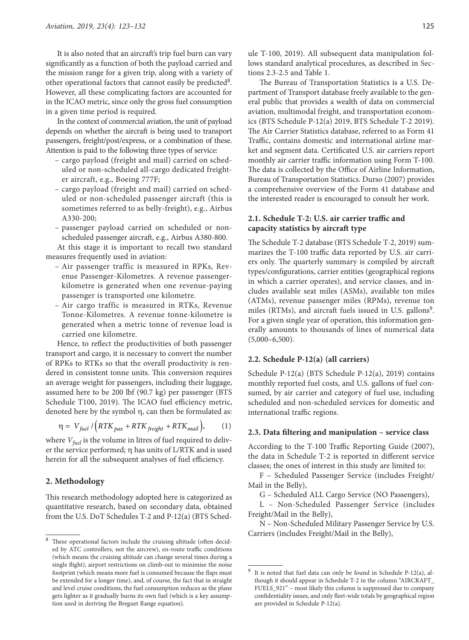It is also noted that an aircraft's trip fuel burn can vary significantly as a function of both the payload carried and the mission range for a given trip, along with a variety of other operational factors that cannot easily be predicted<sup>8</sup>. However, all these complicating factors are accounted for in the ICAO metric, since only the gross fuel consumption in a given time period is required.

In the context of commercial aviation, the unit of payload depends on whether the aircraft is being used to transport passengers, freight/post/express, or a combination of these. Attention is paid to the following three types of service:

- cargo payload (freight and mail) carried on scheduled or non-scheduled all-cargo dedicated freighter aircraft, e.g., Boeing 777F;
- cargo payload (freight and mail) carried on scheduled or non-scheduled passenger aircraft (this is sometimes referred to as belly-freight), e.g., Airbus A330-200;
- passenger payload carried on scheduled or nonscheduled passenger aircraft, e.g., Airbus A380-800.

At this stage it is important to recall two standard measures frequently used in aviation:

- Air passenger traffic is measured in RPKs, Revenue Passenger-Kilometres. A revenue passengerkilometre is generated when one revenue-paying passenger is transported one kilometre.
- Air cargo traffic is measured in RTKs, Revenue Tonne-Kilometres. A revenue tonne-kilometre is generated when a metric tonne of revenue load is carried one kilometre.

Hence, to reflect the productivities of both passenger transport and cargo, it is necessary to convert the number of RPKs to RTKs so that the overall productivity is rendered in consistent tonne units. This conversion requires an average weight for passengers, including their luggage, assumed here to be 200 lbf (90.7 kg) per passenger (BTS Schedule T100, 2019). The ICAO fuel efficiency metric, denoted here by the symbol η, can then be formulated as:

$$
\eta = V_{fuel} / (RTK_{pax} + RTK_{freight} + RTK_{mail}), \qquad (1)
$$

where  $V_{fuel}$  is the volume in litres of fuel required to deliver the service performed; η has units of L/RTK and is used herein for all the subsequent analyses of fuel efficiency.

### **2. Methodology**

This research methodology adopted here is categorized as quantitative research, based on secondary data, obtained from the U.S. DoT Schedules T-2 and P-12(a) (BTS Sched-

ule T-100, 2019). All subsequent data manipulation follows standard analytical procedures, as described in Sections 2.3-2.5 and Table 1.

The Bureau of Transportation Statistics is a U.S. Department of Transport database freely available to the general public that provides a wealth of data on commercial aviation, multimodal freight, and transportation economics (BTS Schedule P-12(a) 2019, BTS Schedule T-2 2019). The Air Carrier Statistics database, referred to as Form 41 Traffic, contains domestic and international airline market and segment data. Certificated U.S. air carriers report monthly air carrier traffic information using Form T-100. The data is collected by the Office of Airline Information, Bureau of Transportation Statistics. Durso (2007) provides a comprehensive overview of the Form 41 database and the interested reader is encouraged to consult her work.

## **2.1. Schedule T-2: U.S. air carrier traffic and capacity statistics by aircraft type**

The Schedule T-2 database (BTS Schedule T-2, 2019) summarizes the T-100 traffic data reported by U.S. air carriers only. The quarterly summary is compiled by aircraft types/configurations, carrier entities (geographical regions in which a carrier operates), and service classes, and includes available seat miles (ASMs), available ton miles (ATMs), revenue passenger miles (RPMs), revenue ton miles (RTMs), and aircraft fuels issued in U.S. gallons<sup>9</sup>. For a given single year of operation, this information generally amounts to thousands of lines of numerical data (5,000–6,500).

### **2.2. Schedule P-12(a) (all carriers)**

Schedule P-12(a) (BTS Schedule P-12(a), 2019) contains monthly reported fuel costs, and U.S. gallons of fuel consumed, by air carrier and category of fuel use, including scheduled and non-scheduled services for domestic and international traffic regions.

### **2.3. Data filtering and manipulation – service class**

According to the T-100 Traffic Reporting Guide (2007), the data in Schedule T-2 is reported in different service classes; the ones of interest in this study are limited to:

F – Scheduled Passenger Service (includes Freight/ Mail in the Belly),

G – Scheduled ALL Cargo Service (NO Passengers),

L – Non-Scheduled Passenger Service (includes Freight/Mail in the Belly),

N – Non-Scheduled Military Passenger Service by U.S. Carriers (includes Freight/Mail in the Belly),

<sup>8</sup> These operational factors include the cruising altitude (often decided by ATC controllers, not the aircrew), en-route traffic conditions (which means the cruising altitude can change several times during a single flight), airport restrictions on climb-out to minimise the noise footprint (which means more fuel is consumed because the flaps must be extended for a longer time), and, of course, the fact that in straight and level cruise conditions, the fuel consumption reduces as the plane gets lighter as it gradually burns its own fuel (which is a key assumption used in deriving the Breguet Range equation).

<sup>9</sup> It is noted that fuel data can only be found in Schedule P-12(a), although it should appear in Schedule T-2 in the column "AIRCRAFT\_ FUELS\_921" – most likely this column is suppressed due to company confidentiality issues, and only fleet-wide totals by geographical region are provided in Schedule P-12(a).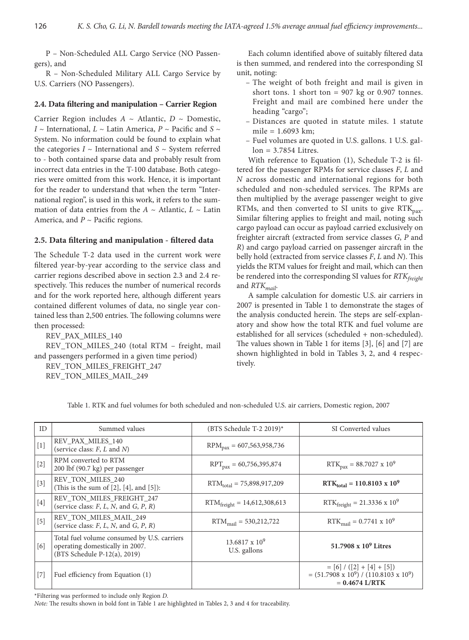P – Non-Scheduled ALL Cargo Service (NO Passengers), and

R – Non-Scheduled Military ALL Cargo Service by U.S. Carriers (NO Passengers).

# **2.4. Data filtering and manipulation – Carrier Region**

Carrier Region includes  $A \sim$  Atlantic,  $D \sim$  Domestic, *I* ~ International,  $L \sim$  Latin America,  $P \sim$  Pacific and  $S \sim$ System. No information could be found to explain what the categories  $I \sim$  International and  $S \sim$  System referred to - both contained sparse data and probably result from incorrect data entries in the T-100 database. Both categories were omitted from this work. Hence, it is important for the reader to understand that when the term "International region", is used in this work, it refers to the summation of data entries from the  $A \sim$  Atlantic,  $L \sim$  Latin America, and  $P \sim$  Pacific regions.

# **2.5. Data filtering and manipulation - filtered data**

The Schedule T-2 data used in the current work were filtered year-by-year according to the service class and carrier regions described above in section 2.3 and 2.4 respectively. This reduces the number of numerical records and for the work reported here, although different years contained different volumes of data, no single year contained less than 2,500 entries. The following columns were then processed:

REV\_PAX\_MILES\_140 REV\_TON\_MILES\_240 (total RTM – freight, mail and passengers performed in a given time period) REV\_TON\_MILES\_FREIGHT\_247

REV\_TON\_MILES\_MAIL\_249

Each column identified above of suitably filtered data is then summed, and rendered into the corresponding SI unit, noting:

- The weight of both freight and mail is given in short tons. 1 short ton  $= 907$  kg or 0.907 tonnes. Freight and mail are combined here under the heading "cargo";
- Distances are quoted in statute miles. 1 statute mile = 1.6093 km;
- Fuel volumes are quoted in U.S. gallons. 1 U.S. gallon = 3.7854 Litres.

With reference to Equation (1), Schedule T-2 is filtered for the passenger RPMs for service classes *F*, *L* and *N* across domestic and international regions for both scheduled and non-scheduled services. The RPMs are then multiplied by the average passenger weight to give RTMs, and then converted to SI units to give  $RTK_{\text{pax}}$ . Similar filtering applies to freight and mail, noting such cargo payload can occur as payload carried exclusively on freighter aircraft (extracted from service classes *G*, *P* and *R*) and cargo payload carried on passenger aircraft in the belly hold (extracted from service classes *F*, *L* and *N*). This yields the RTM values for freight and mail, which can then be rendered into the corresponding SI values for  $RTK_{freight}$ and *RTKmail*.

A sample calculation for domestic U.S. air carriers in 2007 is presented in Table 1 to demonstrate the stages of the analysis conducted herein. The steps are self-explanatory and show how the total RTK and fuel volume are established for all services (scheduled + non-scheduled). The values shown in Table 1 for items [3], [6] and [7] are shown highlighted in bold in Tables 3, 2, and 4 respectively.

| ID    | Summed values                                                                                                  | (BTS Schedule T-2 2019)*                | SI Converted values                                                                                                |
|-------|----------------------------------------------------------------------------------------------------------------|-----------------------------------------|--------------------------------------------------------------------------------------------------------------------|
| $[1]$ | REV PAX MILES 140<br>(service class: $F$ , $L$ and $N$ )                                                       | $RPM_{\text{pax}} = 607,563,958,736$    |                                                                                                                    |
| $[2]$ | RPM converted to RTM<br>200 lbf (90.7 kg) per passenger                                                        | $RPT_{\text{pax}} = 60,756,395,874$     | $RTK_{\text{pax}} = 88.7027 \times 10^9$                                                                           |
| $[3]$ | REV TON MILES 240<br>(This is the sum of $[2]$ , $[4]$ , and $[5]$ ):                                          | $RTM_{\text{total}} = 75,898,917,209$   | $RTK_{total} = 110.8103 \times 10^{9}$                                                                             |
| [4]   | REV_TON_MILES_FREIGHT_247<br>(service class: $F$ , $L$ , $N$ , and $G$ , $P$ , $R$ )                           | $RTM_{\text{freight}} = 14,612,308,613$ | $RTK_{\text{freight}} = 21.3336 \times 10^9$                                                                       |
| $[5]$ | REV TON MILES MAIL 249<br>(service class: $F$ , $L$ , $N$ , and $G$ , $P$ , $R$ )                              | $RTM_{\text{mail}} = 530,212,722$       | $RTK_{\text{mail}} = 0.7741 \times 10^9$                                                                           |
| [6]   | Total fuel volume consumed by U.S. carriers<br>operating domestically in 2007.<br>(BTS Schedule P-12(a), 2019) | $13.6817 \times 10^{9}$<br>U.S. gallons | 51.7908 x $10^9$ Litres                                                                                            |
| [7]   | Fuel efficiency from Equation (1)                                                                              |                                         | $=[6] / ([2] + [4] + [5])$<br>$=$ (51.7908 x 10 <sup>9</sup> ) / (110.8103 x 10 <sup>9</sup> )<br>$= 0.4674$ L/RTK |

Table 1. RTK and fuel volumes for both scheduled and non-scheduled U.S. air carriers, Domestic region, 2007

\*Filtering was performed to include only Region *D*.

*Note:* The results shown in bold font in Table 1 are highlighted in Tables 2, 3 and 4 for traceability.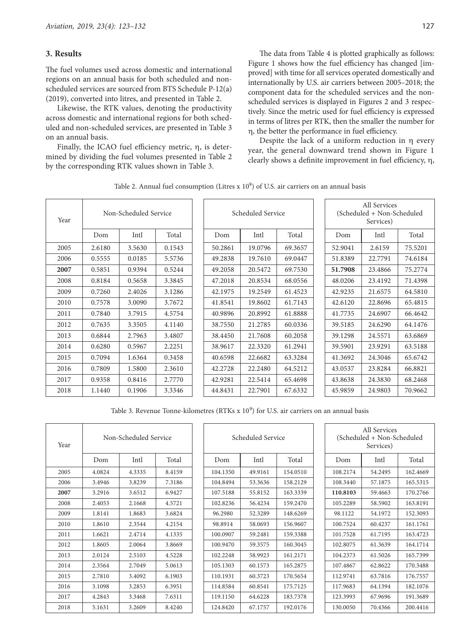### **3. Results**

The fuel volumes used across domestic and international regions on an annual basis for both scheduled and nonscheduled services are sourced from BTS Schedule P-12(a) (2019), converted into litres, and presented in Table 2.

Likewise, the RTK values, denoting the productivity across domestic and international regions for both scheduled and non-scheduled services, are presented in Table 3 on an annual basis.

Finally, the ICAO fuel efficiency metric, η, is determined by dividing the fuel volumes presented in Table 2 by the corresponding RTK values shown in Table 3.

The data from Table 4 is plotted graphically as follows: Figure 1 shows how the fuel efficiency has changed [improved] with time for all services operated domestically and internationally by U.S. air carriers between 2005–2018; the component data for the scheduled services and the nonscheduled services is displayed in Figures 2 and 3 respectively. Since the metric used for fuel efficiency is expressed in terms of litres per RTK, then the smaller the number for η, the better the performance in fuel efficiency.

Despite the lack of a uniform reduction in η every year, the general downward trend shown in Figure 1 clearly shows a definite improvement in fuel efficiency, η,

Table 2. Annual fuel consumption (Litres x  $10^9$ ) of U.S. air carriers on an annual basis

| Year |        | Non-Scheduled Service |        |         | Scheduled Service |         | All Services<br>(Scheduled + Non-Scheduled<br>Services) |         |         |  |
|------|--------|-----------------------|--------|---------|-------------------|---------|---------------------------------------------------------|---------|---------|--|
|      | Dom    | Intl                  | Total  | Dom     | Intl              | Total   | Dom                                                     | Intl    | Total   |  |
| 2005 | 2.6180 | 3.5630                | 0.1543 | 50.2861 | 19.0796           | 69.3657 | 52.9041                                                 | 2.6159  | 75.5201 |  |
| 2006 | 0.5555 | 0.0185                | 5.5736 | 49.2838 | 19.7610           | 69.0447 | 51.8389                                                 | 22.7791 | 74.6184 |  |
| 2007 | 0.5851 | 0.9394                | 0.5244 | 49.2058 | 20.5472           | 69.7530 | 51.7908                                                 | 23.4866 | 75.2774 |  |
| 2008 | 0.8184 | 0.5658                | 3.3845 | 47.2018 | 20.8534           | 68.0556 | 48.0206                                                 | 23.4192 | 71.4398 |  |
| 2009 | 0.7260 | 2.4026                | 3.1286 | 42.1975 | 19.2549           | 61.4523 | 42.9235                                                 | 21.6575 | 64.5810 |  |
| 2010 | 0.7578 | 3.0090                | 3.7672 | 41.8541 | 19.8602           | 61.7143 | 42.6120                                                 | 22.8696 | 65.4815 |  |
| 2011 | 0.7840 | 3.7915                | 4.5754 | 40.9896 | 20.8992           | 61.8888 | 41.7735                                                 | 24.6907 | 66.4642 |  |
| 2012 | 0.7635 | 3.3505                | 4.1140 | 38.7550 | 21.2785           | 60.0336 | 39.5185                                                 | 24.6290 | 64.1476 |  |
| 2013 | 0.6844 | 2.7963                | 3.4807 | 38.4450 | 21.7608           | 60.2058 | 39.1298                                                 | 24.5571 | 63.6869 |  |
| 2014 | 0.6280 | 0.5967                | 2.2251 | 38.9617 | 22.3320           | 61.2941 | 39.5901                                                 | 23.9291 | 63.5188 |  |
| 2015 | 0.7094 | 1.6364                | 0.3458 | 40.6598 | 22.6682           | 63.3284 | 41.3692                                                 | 24.3046 | 65.6742 |  |
| 2016 | 0.7809 | 1.5800                | 2.3610 | 42.2728 | 22.2480           | 64.5212 | 43.0537                                                 | 23.8284 | 66.8821 |  |
| 2017 | 0.9358 | 0.8416                | 2.7770 | 42.9281 | 22.5414           | 65.4698 | 43.8638                                                 | 24.3830 | 68.2468 |  |
| 2018 | 1.1440 | 0.1906                | 3.3346 | 44.8431 | 22.7901           | 67.6332 | 45.9859                                                 | 24.9803 | 70.9662 |  |

Table 3. Revenue Tonne-kilometres (RTKs x  $10<sup>9</sup>$ ) for U.S. air carriers on an annual basis

| Year |        | Non-Scheduled Service |        |          | Scheduled Service |          | All Services<br>(Scheduled + Non-Scheduled<br>Services) |         |          |
|------|--------|-----------------------|--------|----------|-------------------|----------|---------------------------------------------------------|---------|----------|
|      | Dom    | Intl                  | Total  | Dom      | Intl              | Total    | Dom                                                     | Intl    | Total    |
| 2005 | 4.0824 | 4.3335                | 8.4159 | 104.1350 | 49.9161           | 154.0510 | 108.2174                                                | 54.2495 | 162.4669 |
| 2006 | 3.4946 | 3.8239                | 7.3186 | 104.8494 | 53.3636           | 158.2129 | 108.3440                                                | 57.1875 | 165.5315 |
| 2007 | 3.2916 | 3.6512                | 6.9427 | 107.5188 | 55.8152           | 163.3339 | 110.8103                                                | 59.4663 | 170.2766 |
| 2008 | 2.4053 | 2.1668                | 4.5721 | 102.8236 | 56.4234           | 159.2470 | 105.2289                                                | 58.5902 | 163.8191 |
| 2009 | 1.8141 | 1.8683                | 3.6824 | 96.2980  | 52.3289           | 148.6269 | 98.1122                                                 | 54.1972 | 152.3093 |
| 2010 | 1.8610 | 2.3544                | 4.2154 | 98.8914  | 58.0693           | 156.9607 | 100.7524                                                | 60.4237 | 161.1761 |
| 2011 | 1.6621 | 2.4714                | 4.1335 | 100.0907 | 59.2481           | 159.3388 | 101.7528                                                | 61.7195 | 163.4723 |
| 2012 | 1.8605 | 2.0064                | 3.8669 | 100.9470 | 59.3575           | 160.3045 | 102.8075                                                | 61.3639 | 164.1714 |
| 2013 | 2.0124 | 2.5103                | 4.5228 | 102.2248 | 58.9923           | 161.2171 | 104.2373                                                | 61.5026 | 165.7399 |
| 2014 | 2.3564 | 2.7049                | 5.0613 | 105.1303 | 60.1573           | 165.2875 | 107.4867                                                | 62.8622 | 170.3488 |
| 2015 | 2.7810 | 3.4092                | 6.1903 | 110.1931 | 60.3723           | 170.5654 | 112.9741                                                | 63.7816 | 176.7557 |
| 2016 | 3.1098 | 3.2853                | 6.3951 | 114.8584 | 60.8541           | 175.7125 | 117.9683                                                | 64.1394 | 182.1076 |
| 2017 | 4.2843 | 3.3468                | 7.6311 | 119.1150 | 64.6228           | 183.7378 | 123.3993                                                | 67.9696 | 191.3689 |
| 2018 | 5.1631 | 3.2609                | 8.4240 | 124.8420 | 67.1757           | 192.0176 | 130.0050                                                | 70.4366 | 200.4416 |

|        | Non-Scheduled Service |        |          | Scheduled Service |          |          | All Services<br>(Scheduled + Non-Scheduled<br>Services) |        |
|--------|-----------------------|--------|----------|-------------------|----------|----------|---------------------------------------------------------|--------|
| Dom    | Intl                  | Total  | Dom      | Intl              | Total    | Dom      | Intl                                                    | Total  |
| 4.0824 | 4.3335                | 8.4159 | 104.1350 | 49.9161           | 154.0510 | 108.2174 | 54.2495                                                 | 162.46 |
| 3.4946 | 3.8239                | 7.3186 | 104.8494 | 53.3636           | 158.2129 | 108.3440 | 57.1875                                                 | 165.53 |
| 3.2916 | 3.6512                | 6.9427 | 107.5188 | 55.8152           | 163.3339 | 110.8103 | 59.4663                                                 | 170.27 |
| 2.4053 | 2.1668                | 4.5721 | 102.8236 | 56.4234           | 159.2470 | 105.2289 | 58.5902                                                 | 163.81 |
| 1.8141 | 1.8683                | 3.6824 | 96.2980  | 52.3289           | 148.6269 | 98.1122  | 54.1972                                                 | 152.30 |
| 1.8610 | 2.3544                | 4.2154 | 98.8914  | 58.0693           | 156.9607 | 100.7524 | 60.4237                                                 | 161.17 |
| 1.6621 | 2.4714                | 4.1335 | 100.0907 | 59.2481           | 159.3388 | 101.7528 | 61.7195                                                 | 163.47 |
| 1.8605 | 2.0064                | 3.8669 | 100.9470 | 59.3575           | 160.3045 | 102.8075 | 61.3639                                                 | 164.17 |
| 2.0124 | 2.5103                | 4.5228 | 102.2248 | 58.9923           | 161.2171 | 104.2373 | 61.5026                                                 | 165.73 |
| 2.3564 | 2.7049                | 5.0613 | 105.1303 | 60.1573           | 165.2875 | 107.4867 | 62.8622                                                 | 170.34 |
| 2.7810 | 3.4092                | 6.1903 | 110.1931 | 60.3723           | 170.5654 | 112.9741 | 63.7816                                                 | 176.75 |
| 3.1098 | 3.2853                | 6.3951 | 114.8584 | 60.8541           | 175.7125 | 117.9683 | 64.1394                                                 | 182.10 |
| 4.2843 | 3.3468                | 7.6311 | 119.1150 | 64.6228           | 183.7378 | 123.3993 | 67.9696                                                 | 191.36 |
| 51631  | 3.2600                | 9.1210 | 124.8420 | 671757            | 102.0176 | 130.0050 | 70 4366                                                 | 200A4  |

| All Services<br>(Scheduled + Non-Scheduled<br>Services) |         |          |  |  |  |  |  |  |
|---------------------------------------------------------|---------|----------|--|--|--|--|--|--|
| Dom                                                     | Intl    | Total    |  |  |  |  |  |  |
| 108.2174                                                | 54.2495 | 162.4669 |  |  |  |  |  |  |
| 108.3440                                                | 57.1875 | 165.5315 |  |  |  |  |  |  |
| 110.8103                                                | 59.4663 | 170.2766 |  |  |  |  |  |  |
| 105.2289                                                | 58.5902 | 163.8191 |  |  |  |  |  |  |
| 98.1122                                                 | 54.1972 | 152.3093 |  |  |  |  |  |  |
| 100.7524                                                | 60.4237 | 161.1761 |  |  |  |  |  |  |
| 101.7528                                                | 61.7195 | 163.4723 |  |  |  |  |  |  |
| 102.8075                                                | 61.3639 | 164.1714 |  |  |  |  |  |  |
| 104.2373                                                | 61.5026 | 165.7399 |  |  |  |  |  |  |
| 107.4867                                                | 62.8622 | 170.3488 |  |  |  |  |  |  |
| 112.9741                                                | 63.7816 | 176.7557 |  |  |  |  |  |  |
| 117.9683                                                | 64.1394 | 182.1076 |  |  |  |  |  |  |
| 123.3993                                                | 67.9696 | 191.3689 |  |  |  |  |  |  |
| 130.0050                                                | 70.4366 | 200.4416 |  |  |  |  |  |  |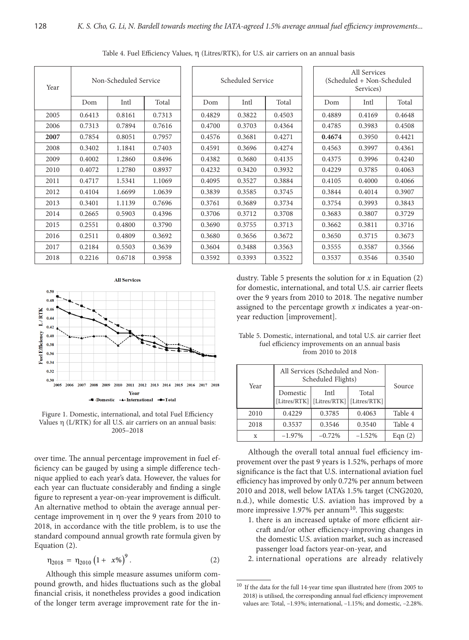| Year |        | Non-Scheduled Service |        |        | Scheduled Service |        | All Services<br>(Scheduled + Non-Scheduled<br>Services) |        |        |        |
|------|--------|-----------------------|--------|--------|-------------------|--------|---------------------------------------------------------|--------|--------|--------|
|      | Dom    | Intl                  | Total  | Dom    | Intl              | Total  |                                                         | Dom    | Intl   | Total  |
| 2005 | 0.6413 | 0.8161                | 0.7313 | 0.4829 | 0.3822            | 0.4503 |                                                         | 0.4889 | 0.4169 | 0.4648 |
| 2006 | 0.7313 | 0.7894                | 0.7616 | 0.4700 | 0.3703            | 0.4364 |                                                         | 0.4785 | 0.3983 | 0.4508 |
| 2007 | 0.7854 | 0.8051                | 0.7957 | 0.4576 | 0.3681            | 0.4271 |                                                         | 0.4674 | 0.3950 | 0.4421 |
| 2008 | 0.3402 | 1.1841                | 0.7403 | 0.4591 | 0.3696            | 0.4274 |                                                         | 0.4563 | 0.3997 | 0.4361 |
| 2009 | 0.4002 | 1.2860                | 0.8496 | 0.4382 | 0.3680            | 0.4135 |                                                         | 0.4375 | 0.3996 | 0.4240 |
| 2010 | 0.4072 | 1.2780                | 0.8937 | 0.4232 | 0.3420            | 0.3932 |                                                         | 0.4229 | 0.3785 | 0.4063 |
| 2011 | 0.4717 | 1.5341                | 1.1069 | 0.4095 | 0.3527            | 0.3884 |                                                         | 0.4105 | 0.4000 | 0.4066 |
| 2012 | 0.4104 | 1.6699                | 1.0639 | 0.3839 | 0.3585            | 0.3745 |                                                         | 0.3844 | 0.4014 | 0.3907 |
| 2013 | 0.3401 | 1.1139                | 0.7696 | 0.3761 | 0.3689            | 0.3734 |                                                         | 0.3754 | 0.3993 | 0.3843 |
| 2014 | 0.2665 | 0.5903                | 0.4396 | 0.3706 | 0.3712            | 0.3708 |                                                         | 0.3683 | 0.3807 | 0.3729 |
| 2015 | 0.2551 | 0.4800                | 0.3790 | 0.3690 | 0.3755            | 0.3713 |                                                         | 0.3662 | 0.3811 | 0.3716 |
| 2016 | 0.2511 | 0.4809                | 0.3692 | 0.3680 | 0.3656            | 0.3672 |                                                         | 0.3650 | 0.3715 | 0.3673 |
| 2017 | 0.2184 | 0.5503                | 0.3639 | 0.3604 | 0.3488            | 0.3563 |                                                         | 0.3555 | 0.3587 | 0.3566 |
| 2018 | 0.2216 | 0.6718                | 0.3958 | 0.3592 | 0.3393            | 0.3522 |                                                         | 0.3537 | 0.3546 | 0.3540 |

Table 4. Fuel Efficiency Values, η (Litres/RTK), for U.S. air carriers on an annual basis



Figure 1. Domestic, international, and total Fuel Efficiency Values η (L/RTK) for all U.S. air carriers on an annual basis: 2005–2018

over time. The annual percentage improvement in fuel efficiency can be gauged by using a simple difference technique applied to each year's data. However, the values for each year can fluctuate considerably and finding a single figure to represent a year-on-year improvement is difficult. An alternative method to obtain the average annual percentage improvement in η over the 9 years from 2010 to 2018, in accordance with the title problem, is to use the standard compound annual growth rate formula given by Equation (2).

$$
\eta_{2018} = \eta_{2010} \left( 1 + x\% \right)^9. \tag{2}
$$

Although this simple measure assumes uniform compound growth, and hides fluctuations such as the global financial crisis, it nonetheless provides a good indication of the longer term average improvement rate for the industry. Table 5 presents the solution for *x* in Equation (2) for domestic, international, and total U.S. air carrier fleets over the 9 years from 2010 to 2018. The negative number assigned to the percentage growth *x* indicates a year-onyear reduction [improvement].

Table 5. Domestic, international, and total U.S. air carrier fleet fuel efficiency improvements on an annual basis from 2010 to 2018

| Year | All Services (Scheduled and Non-<br>Scheduled Flights) | Source                                             |          |           |  |
|------|--------------------------------------------------------|----------------------------------------------------|----------|-----------|--|
|      | Domestic                                               | Intl<br>[Litres/RTK]   [Litres/RTK]   [Litres/RTK] | Total    |           |  |
| 2010 | 0.4229                                                 | 0.3785                                             | 0.4063   | Table 4   |  |
| 2018 | 0.3537                                                 | 0.3546                                             | 0.3540   | Table 4   |  |
| X    | $-1.97%$                                               | $-0.72%$                                           | $-1.52%$ | Eqn $(2)$ |  |

Although the overall total annual fuel efficiency improvement over the past 9 years is 1.52%, perhaps of more significance is the fact that U.S. international aviation fuel efficiency has improved by only 0.72% per annum between 2010 and 2018, well below IATA's 1.5% target (CNG2020, n.d.), while domestic U.S. aviation has improved by a more impressive  $1.97\%$  per annum<sup>10</sup>. This suggests:

- 1. there is an increased uptake of more efficient aircraft and/or other efficiency-improving changes in the domestic U.S. aviation market, such as increased passenger load factors year-on-year, and
- 2. international operations are already relatively

 $^{10}\,$  If the data for the full 14-year time span illustrated here (from 2005 to 2018) is utilised, the corresponding annual fuel efficiency improvement values are: Total, –1.93%; international, –1.15%; and domestic, –2.28%.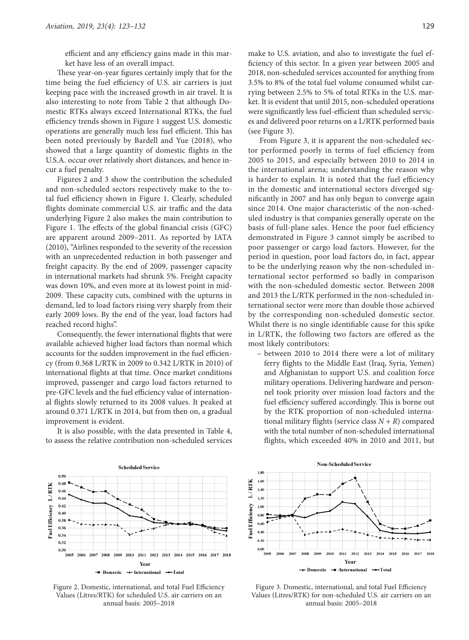efficient and any efficiency gains made in this market have less of an overall impact.

These year-on-year figures certainly imply that for the time being the fuel efficiency of U.S. air carriers is just keeping pace with the increased growth in air travel. It is also interesting to note from Table 2 that although Domestic RTKs always exceed International RTKs, the fuel efficiency trends shown in Figure 1 suggest U.S. domestic operations are generally much less fuel efficient. This has been noted previously by Bardell and Yue (2018), who showed that a large quantity of domestic flights in the U.S.A. occur over relatively short distances, and hence incur a fuel penalty.

Figures 2 and 3 show the contribution the scheduled and non-scheduled sectors respectively make to the total fuel efficiency shown in Figure 1. Clearly, scheduled flights dominate commercial U.S. air traffic and the data underlying Figure 2 also makes the main contribution to Figure 1. The effects of the global financial crisis (GFC) are apparent around 2009–2011. As reported by IATA (2010), "Airlines responded to the severity of the recession with an unprecedented reduction in both passenger and freight capacity. By the end of 2009, passenger capacity in international markets had shrunk 5%. Freight capacity was down 10%, and even more at its lowest point in mid-2009. These capacity cuts, combined with the upturns in demand, led to load factors rising very sharply from their early 2009 lows. By the end of the year, load factors had reached record highs".

Consequently, the fewer international flights that were available achieved higher load factors than normal which accounts for the sudden improvement in the fuel efficiency (from 0.368 L/RTK in 2009 to 0.342 L/RTK in 2010) of international flights at that time. Once market conditions improved, passenger and cargo load factors returned to pre-GFC levels and the fuel efficiency value of international flights slowly returned to its 2008 values. It peaked at around 0.371 L/RTK in 2014, but from then on, a gradual improvement is evident.

It is also possible, with the data presented in Table 4, to assess the relative contribution non-scheduled services make to U.S. aviation, and also to investigate the fuel efficiency of this sector. In a given year between 2005 and 2018, non-scheduled services accounted for anything from 3.5% to 8% of the total fuel volume consumed whilst carrying between 2.5% to 5% of total RTKs in the U.S. market. It is evident that until 2015, non-scheduled operations were significantly less fuel-efficient than scheduled services and delivered poor returns on a L/RTK performed basis (see Figure 3).

From Figure 3, it is apparent the non-scheduled sector performed poorly in terms of fuel efficiency from 2005 to 2015, and especially between 2010 to 2014 in the international arena; understanding the reason why is harder to explain. It is noted that the fuel efficiency in the domestic and international sectors diverged significantly in 2007 and has only begun to converge again since 2014. One major characteristic of the non-scheduled industry is that companies generally operate on the basis of full-plane sales. Hence the poor fuel efficiency demonstrated in Figure 3 cannot simply be ascribed to poor passenger or cargo load factors. However, for the period in question, poor load factors do, in fact, appear to be the underlying reason why the non-scheduled international sector performed so badly in comparison with the non-scheduled domestic sector. Between 2008 and 2013 the L/RTK performed in the non-scheduled international sector were more than double those achieved by the corresponding non-scheduled domestic sector. Whilst there is no single identifiable cause for this spike in L/RTK, the following two factors are offered as the most likely contributors:

– between 2010 to 2014 there were a lot of military ferry flights to the Middle East (Iraq, Syria, Yemen) and Afghanistan to support U.S. and coalition force military operations. Delivering hardware and personnel took priority over mission load factors and the fuel efficiency suffered accordingly. This is borne out by the RTK proportion of non-scheduled international military flights (service class  $N + R$ ) compared with the total number of non-scheduled international flights, which exceeded 40% in 2010 and 2011, but



Figure 2. Domestic, international, and total Fuel Efficiency Values (Litres/RTK) for scheduled U.S. air carriers on an annual basis: 2005–2018



Figure 3. Domestic, international, and total Fuel Efficiency Values (Litres/RTK) for non-scheduled U.S. air carriers on an annual basis: 2005–2018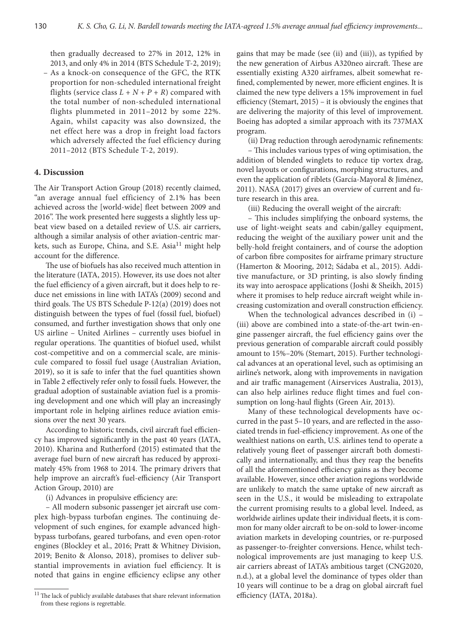then gradually decreased to 27% in 2012, 12% in 2013, and only 4% in 2014 (BTS Schedule T-2, 2019);

– As a knock-on consequence of the GFC, the RTK proportion for non-scheduled international freight flights (service class  $L + N + P + R$ ) compared with the total number of non-scheduled international flights plummeted in 2011–2012 by some 22%. Again, whilst capacity was also downsized, the net effect here was a drop in freight load factors which adversely affected the fuel efficiency during 2011–2012 (BTS Schedule T-2, 2019).

#### **4. Discussion**

The Air Transport Action Group (2018) recently claimed, "an average annual fuel efficiency of 2.1% has been achieved across the [world-wide] fleet between 2009 and 2016". The work presented here suggests a slightly less upbeat view based on a detailed review of U.S. air carriers, although a similar analysis of other aviation-centric markets, such as Europe, China, and S.E. Asia<sup>11</sup> might help account for the difference.

The use of biofuels has also received much attention in the literature (IATA, 2015). However, its use does not alter the fuel efficiency of a given aircraft, but it does help to reduce net emissions in line with IATA's (2009) second and third goals. The US BTS Schedule P-12(a) (2019) does not distinguish between the types of fuel (fossil fuel, biofuel) consumed, and further investigation shows that only one US airline – United Airlines – currently uses biofuel in regular operations. The quantities of biofuel used, whilst cost-competitive and on a commercial scale, are miniscule compared to fossil fuel usage (Australian Aviation, 2019), so it is safe to infer that the fuel quantities shown in Table 2 effectively refer only to fossil fuels. However, the gradual adoption of sustainable aviation fuel is a promising development and one which will play an increasingly important role in helping airlines reduce aviation emissions over the next 30 years.

According to historic trends, civil aircraft fuel efficiency has improved significantly in the past 40 years (IATA, 2010). Kharina and Rutherford (2015) estimated that the average fuel burn of new aircraft has reduced by approximately 45% from 1968 to 2014. The primary drivers that help improve an aircraft's fuel-efficiency (Air Transport Action Group, 2010) are

(i) Advances in propulsive efficiency are:

– All modern subsonic passenger jet aircraft use complex high-bypass turbofan engines. The continuing development of such engines, for example advanced highbypass turbofans, geared turbofans, and even open-rotor engines (Blockley et al., 2016; Pratt & Whitney Division, 2019; Benito & Alonso, 2018), promises to deliver substantial improvements in aviation fuel efficiency. It is noted that gains in engine efficiency eclipse any other gains that may be made (see (ii) and (iii)), as typified by the new generation of Airbus A320neo aircraft. These are essentially existing A320 airframes, albeit somewhat refined, complemented by newer, more efficient engines. It is claimed the new type delivers a 15% improvement in fuel efficiency (Stemart, 2015) – it is obviously the engines that are delivering the majority of this level of improvement. Boeing has adopted a similar approach with its 737MAX program.

(ii) Drag reduction through aerodynamic refinements:

– This includes various types of wing optimisation, the addition of blended winglets to reduce tip vortex drag, novel layouts or configurations, morphing structures, and even the application of riblets (García-Mayoral & Jiménez, 2011). NASA (2017) gives an overview of current and future research in this area.

(iii) Reducing the overall weight of the aircraft:

– This includes simplifying the onboard systems, the use of light-weight seats and cabin/galley equipment, reducing the weight of the auxiliary power unit and the belly-hold freight containers, and of course the adoption of carbon fibre composites for airframe primary structure (Hamerton & Mooring, 2012; Sádaba et al., 2015). Additive manufacture, or 3D printing, is also slowly finding its way into aerospace applications (Joshi & Sheikh, 2015) where it promises to help reduce aircraft weight while increasing customization and overall construction efficiency.

When the technological advances described in  $(i)$  – (iii) above are combined into a state-of-the-art twin-engine passenger aircraft, the fuel efficiency gains over the previous generation of comparable aircraft could possibly amount to 15%–20% (Stemart, 2015). Further technological advances at an operational level, such as optimising an airline's network, along with improvements in navigation and air traffic management (Airservices Australia, 2013), can also help airlines reduce flight times and fuel consumption on long-haul flights (Green Air, 2013).

Many of these technological developments have occurred in the past 5–10 years, and are reflected in the associated trends in fuel-efficiency improvement. As one of the wealthiest nations on earth, U.S. airlines tend to operate a relatively young fleet of passenger aircraft both domestically and internationally, and thus they reap the benefits of all the aforementioned efficiency gains as they become available. However, since other aviation regions worldwide are unlikely to match the same uptake of new aircraft as seen in the U.S., it would be misleading to extrapolate the current promising results to a global level. Indeed, as worldwide airlines update their individual fleets, it is common for many older aircraft to be on-sold to lower-income aviation markets in developing countries, or re-purposed as passenger-to-freighter conversions. Hence, whilst technological improvements are just managing to keep U.S. air carriers abreast of IATA's ambitious target (CNG2020, n.d.), at a global level the dominance of types older than 10 years will continue to be a drag on global aircraft fuel efficiency (IATA, 2018a).

 $^{11}$  The lack of publicly available databases that share relevant information from these regions is regrettable.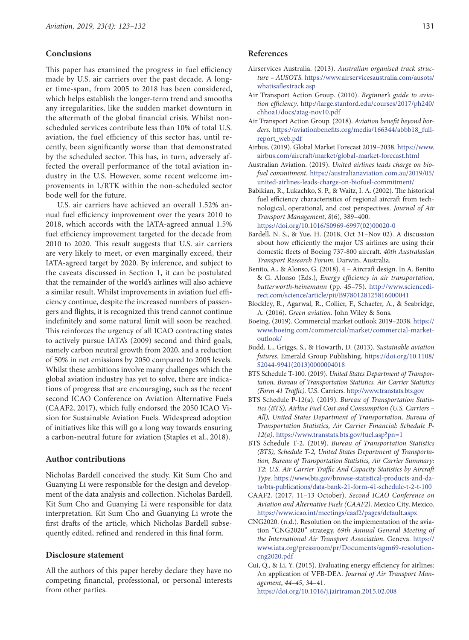# **Conclusions**

This paper has examined the progress in fuel efficiency made by U.S. air carriers over the past decade. A longer time-span, from 2005 to 2018 has been considered, which helps establish the longer-term trend and smooths any irregularities, like the sudden market downturn in the aftermath of the global financial crisis. Whilst nonscheduled services contribute less than 10% of total U.S. aviation, the fuel efficiency of this sector has, until recently, been significantly worse than that demonstrated by the scheduled sector. This has, in turn, adversely affected the overall performance of the total aviation industry in the U.S. However, some recent welcome improvements in L/RTK within the non-scheduled sector bode well for the future.

U.S. air carriers have achieved an overall 1.52% annual fuel efficiency improvement over the years 2010 to 2018, which accords with the IATA-agreed annual 1.5% fuel efficiency improvement targeted for the decade from 2010 to 2020. This result suggests that U.S. air carriers are very likely to meet, or even marginally exceed, their IATA-agreed target by 2020. By inference, and subject to the caveats discussed in Section 1, it can be postulated that the remainder of the world's airlines will also achieve a similar result. Whilst improvements in aviation fuel efficiency continue, despite the increased numbers of passengers and flights, it is recognized this trend cannot continue indefinitely and some natural limit will soon be reached. This reinforces the urgency of all ICAO contracting states to actively pursue IATA's (2009) second and third goals, namely carbon neutral growth from 2020, and a reduction of 50% in net emissions by 2050 compared to 2005 levels. Whilst these ambitions involve many challenges which the global aviation industry has yet to solve, there are indications of progress that are encouraging, such as the recent second ICAO Conference on Aviation Alternative Fuels (CAAF2, 2017), which fully endorsed the 2050 ICAO Vision for Sustainable Aviation Fuels. Widespread adoption of initiatives like this will go a long way towards ensuring a carbon-neutral future for aviation (Staples et al., 2018).

### **Author contributions**

Nicholas Bardell conceived the study. Kit Sum Cho and Guanying Li were responsible for the design and development of the data analysis and collection. Nicholas Bardell, Kit Sum Cho and Guanying Li were responsible for data interpretation. Kit Sum Cho and Guanying Li wrote the first drafts of the article, which Nicholas Bardell subsequently edited, refined and rendered in this final form.

# **Disclosure statement**

All the authors of this paper hereby declare they have no competing financial, professional, or personal interests from other parties.

# **References**

- Airservices Australia. (2013). *Australian organised track structure – AUSOTS.* [https://www.airservicesaustralia.com/ausots/](https://www.airservicesaustralia.com/ausots/whatisaflextrack.asp) [whatisaflextrack.asp](https://www.airservicesaustralia.com/ausots/whatisaflextrack.asp)
- Air Transport Action Group. (2010). *Beginner's guide to aviation efficiency*. [http://large.stanford.edu/courses/2017/ph240/](http://large.stanford.edu/courses/2017/ph240/chhoa1/docs/atag-nov10.pdf) [chhoa1/docs/atag-nov10.pdf](http://large.stanford.edu/courses/2017/ph240/chhoa1/docs/atag-nov10.pdf)
- Air Transport Action Group. (2018). *Aviation benefit beyond borders.* [https://aviationbenefits.org/media/166344/abbb18\\_full](https://aviationbenefits.org/media/166344/abbb18_full-report_web.pdf)[report\\_web.pdf](https://aviationbenefits.org/media/166344/abbb18_full-report_web.pdf)
- Airbus. (2019). Global Market Forecast 2019–2038. [https://www.](https://www.airbus.com/aircraft/market/global-market-forecast.html) [airbus.com/aircraft/market/global-market-forecast.html](https://www.airbus.com/aircraft/market/global-market-forecast.html)
- Australian Aviation. (2019). *United airlines leads charge on biofuel commitment*. [https://australianaviation.com.au/2019/05/](https://australianaviation.com.au/2019/05/united-airlines-leads-charge-on-biofuel-commitment/) [united-airlines-leads-charge-on-biofuel-commitment/](https://australianaviation.com.au/2019/05/united-airlines-leads-charge-on-biofuel-commitment/)
- Babikian, R., Lukachko, S. P., & Waitz, I. A. (2002). The historical fuel efficiency characteristics of regional aircraft from technological, operational, and cost perspectives. *Journal of Air Transport Management*, *8*(6), 389–400. [https://doi.org/10.1016/S0969-6997\(02\)00020-0](https://doi.org/10.1016/S0969-6997(02)00020-0)
- Bardell, N. S., & Yue, H. (2018, Oct 31–Nov 02). A discussion about how efficiently the major US airlines are using their domestic fleets of Boeing 737-800 aircraft. *40th Australasian Transport Research Forum*. Darwin, Australia.
- Benito, A., & Alonso, G. (2018). 4 Aircraft design. In A. Benito & G. Alonso (Eds.), *Energy efficiency in air transportation, butterworth-heinemann* (pp. 45–75). [http://www.sciencedi](http://www.sciencedirect.com/science/article/pii/B9780128125816000041)[rect.com/science/article/pii/B9780128125816000041](http://www.sciencedirect.com/science/article/pii/B9780128125816000041)
- Blockley, R., Agarwal, R., Collier, F., Schaefer, A., & Seabridge, A. (2016). *Green aviation*. John Wiley & Sons.
- Boeing. (2019). Commercial market outlook 2019–2038. [https://](https://www.boeing.com/commercial/market/commercial-market-outlook/) [www.boeing.com/commercial/market/commercial-market](https://www.boeing.com/commercial/market/commercial-market-outlook/)[outlook/](https://www.boeing.com/commercial/market/commercial-market-outlook/)
- Budd, L., Griggs, S., & Howarth, D. (2013). *Sustainable aviation futures*. Emerald Group Publishing. [https://doi.org/10.1108/](https://doi.org/10.1108/S2044-9941(2013)0000004018) [S2044-9941\(2013\)0000004018](https://doi.org/10.1108/S2044-9941(2013)0000004018)
- BTS Schedule T-100. (2019). *United States Department of Transportation, Bureau of Transportation Statistics, Air Carrier Statistics (Form 41 Traffic).* U.S. Carriers. <http://www.transtats.bts.gov>
- BTS Schedule P-12(a). (2019). *Bureau of Transportation Statistics (BTS), Airline Fuel Cost and Consumption (U.S. Carriers – All), United States Department of Transportation, Bureau of Transportation Statistics, Air Carrier Financial: Schedule P-12(a)*.<https://www.transtats.bts.gov/fuel.asp?pn=1>
- BTS Schedule T-2. (2019). *Bureau of Transportation Statistics (BTS), Schedule T-2, United States Department of Transportation, Bureau of Transportation Statistics, Air Carrier Summary: T2: U.S. Air Carrier Traffic And Capacity Statistics by Aircraft Type*. [https://www.bts.gov/browse-statistical-products-and-da](https://www.bts.gov/browse-statistical-products-and-data/bts-publications/data-bank-21-form-41-schedule-t-2-t-100)[ta/bts-publications/data-bank-21-form-41-schedule-t-2-t-100](https://www.bts.gov/browse-statistical-products-and-data/bts-publications/data-bank-21-form-41-schedule-t-2-t-100)
- CAAF2. (2017, 11–13 October). *Second ICAO Conference on Aviation and Alternative Fuels (CAAF2)*. Mexico City, Mexico. <https://www.icao.int/meetings/caaf2/pages/default.aspx>
- CNG2020. (n.d.). Resolution on the implementation of the aviation "CNG2020" strategy. *69th Annual General Meeting of the International Air Transport Association*. Geneva. [https://](https://www.iata.org/pressroom/pr/Documents/agm69-resolution-cng2020.pdf) [www.iata.org/pressroom/pr/Documents/agm69-resolution](https://www.iata.org/pressroom/pr/Documents/agm69-resolution-cng2020.pdf)[cng2020.pdf](https://www.iata.org/pressroom/pr/Documents/agm69-resolution-cng2020.pdf)
- Cui, Q., & Li, Y. (2015). Evaluating energy efficiency for airlines: An application of VFB-DEA. *Journal of Air Transport Management*, *44–45*, 34–41. <https://doi.org/10.1016/j.jairtraman.2015.02.008>